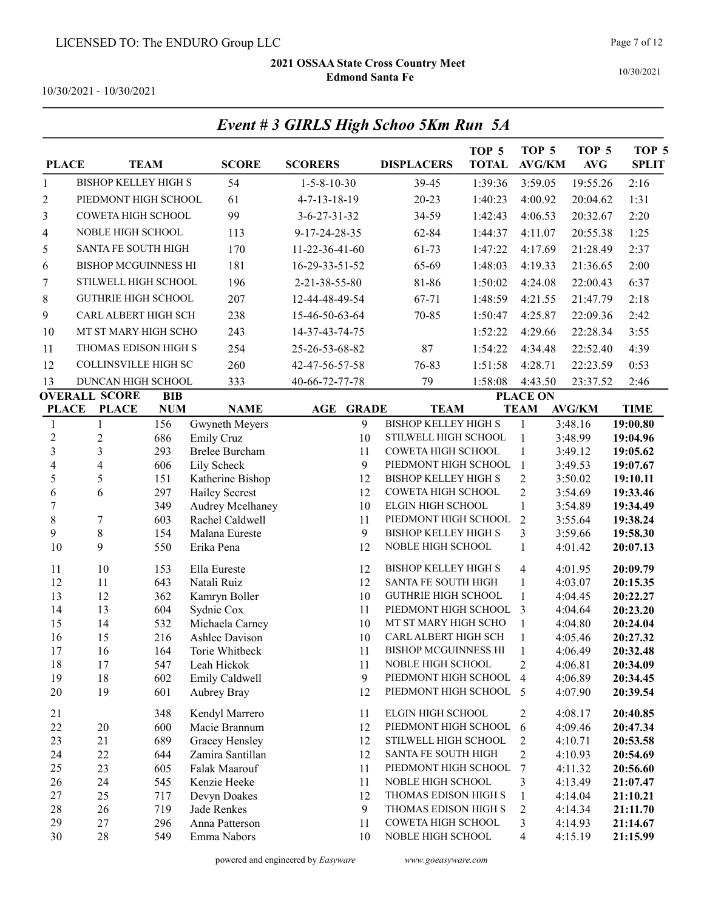Event # 3 GIRLS High Schoo 5Km Run 5A

10/30/2021

10/30/2021 - 10/30/2021

| <b>PLACE</b>      |                             | <b>TEAM</b>       | <b>SCORE</b>                             | <b>SCORERS</b>           | <b>DISPLACERS</b>                            | TOP <sub>5</sub><br><b>TOTAL</b> | TOP <sub>5</sub><br><b>AVG/KM</b> | TOP <sub>5</sub><br>AVG  | TOP <sub>5</sub><br><b>SPLIT</b> |
|-------------------|-----------------------------|-------------------|------------------------------------------|--------------------------|----------------------------------------------|----------------------------------|-----------------------------------|--------------------------|----------------------------------|
| $\mathbf{1}$      | <b>BISHOP KELLEY HIGH S</b> |                   | 54                                       | $1 - 5 - 8 - 10 - 30$    | 39-45                                        | 1:39:36                          | 3:59.05                           | 19:55.26                 | 2:16                             |
| $\overline{2}$    | PIEDMONT HIGH SCHOOL        |                   | 61                                       | $4 - 7 - 13 - 18 - 19$   | $20 - 23$                                    | 1:40:23                          | 4:00.92                           | 20:04.62                 | 1:31                             |
| 3                 | COWETA HIGH SCHOOL          |                   | 99                                       | $3 - 6 - 27 - 31 - 32$   | 34-59                                        | 1:42:43                          | 4:06.53                           | 20:32.67                 | 2:20                             |
| 4                 | NOBLE HIGH SCHOOL           |                   | 113                                      | 9-17-24-28-35            | 62-84                                        | 1:44:37                          | 4:11.07                           | 20:55.38                 | 1:25                             |
| 5                 | SANTA FE SOUTH HIGH         |                   | 170                                      | 11-22-36-41-60           | 61-73                                        | 1:47:22                          | 4:17.69                           | 21:28.49                 | 2:37                             |
| 6                 | <b>BISHOP MCGUINNESS HI</b> |                   | 181                                      | 16-29-33-51-52           | 65-69                                        | 1:48:03                          | 4:19.33                           | 21:36.65                 | 2:00                             |
| 7                 | STILWELL HIGH SCHOOL        |                   | 196                                      | 2-21-38-55-80            | 81-86                                        | 1:50:02                          | 4:24.08                           | 22:00.43                 | 6:37                             |
| 8                 | <b>GUTHRIE HIGH SCHOOL</b>  |                   | 207                                      | 12-44-48-49-54           | 67-71                                        | 1:48:59                          | 4:21.55                           | 21:47.79                 | 2:18                             |
|                   | CARL ALBERT HIGH SCH        |                   |                                          |                          |                                              |                                  |                                   |                          |                                  |
| 9                 |                             |                   | 238                                      | 15-46-50-63-64           | 70-85                                        | 1:50:47                          | 4:25.87                           | 22:09.36                 | 2:42                             |
| 10                | MT ST MARY HIGH SCHO        |                   | 243                                      | 14-37-43-74-75           |                                              | 1:52:22                          | 4:29.66                           | 22:28.34                 | 3:55                             |
| 11                | THOMAS EDISON HIGH S        |                   | 254                                      | 25-26-53-68-82           | 87                                           | 1:54:22                          | 4:34.48                           | 22:52.40                 | 4:39                             |
| 12                | COLLINSVILLE HIGH SC        |                   | 260                                      | 42-47-56-57-58           | 76-83                                        | 1:51:58                          | 4:28.71                           | 22:23.59                 | 0:53                             |
| 13                | DUNCAN HIGH SCHOOL          |                   | 333                                      | 40-66-72-77-78           | 79                                           | 1:58:08                          | 4:43.50                           | 23:37.52                 | 2:46                             |
|                   | <b>OVERALL SCORE</b>        | <b>BIB</b>        |                                          |                          |                                              |                                  | <b>PLACE ON</b>                   |                          |                                  |
| <b>PLACE</b><br>1 | <b>PLACE</b><br>1           | <b>NUM</b><br>156 | <b>NAME</b>                              | <b>GRADE</b><br>AGE<br>9 | <b>TEAM</b><br><b>BISHOP KELLEY HIGH S</b>   |                                  | <b>TEAM</b><br>$\mathbf{1}$       | <b>AVG/KM</b><br>3:48.16 | <b>TIME</b><br>19:00.80          |
| $\overline{c}$    | $\boldsymbol{2}$            | 686               | Gwyneth Meyers<br><b>Emily Cruz</b>      | 10                       | STILWELL HIGH SCHOOL                         |                                  | $\mathbf{1}$                      | 3:48.99                  | 19:04.96                         |
| 3                 | 3                           | 293               | <b>Brelee Burcham</b>                    | 11                       | COWETA HIGH SCHOOL                           |                                  | $\mathbf{1}$                      | 3:49.12                  | 19:05.62                         |
| 4                 | $\overline{\mathbf{4}}$     | 606               | Lily Scheck                              | 9                        | PIEDMONT HIGH SCHOOL                         |                                  | $\mathbf{1}$                      | 3:49.53                  | 19:07.67                         |
| 5                 | 5                           | 151               | Katherine Bishop                         | 12                       | <b>BISHOP KELLEY HIGH S</b>                  |                                  | $\overline{2}$                    | 3:50.02                  | 19:10.11                         |
| 6                 | 6                           | 297               | <b>Hailey Secrest</b>                    | 12                       | COWETA HIGH SCHOOL                           |                                  | $\overline{2}$                    | 3:54.69                  | 19:33.46                         |
| $\sqrt{ }$        |                             | 349               | Audrey Mcelhaney                         | 10                       | ELGIN HIGH SCHOOL                            |                                  | $\mathbf{1}$                      | 3:54.89                  | 19:34.49                         |
| 8                 | $\boldsymbol{7}$            | 603               | Rachel Caldwell                          | 11                       | PIEDMONT HIGH SCHOOL                         |                                  | $\overline{2}$                    | 3:55.64                  | 19:38.24                         |
| 9                 | $\,8\,$                     | 154               | Malana Eureste                           | 9                        | <b>BISHOP KELLEY HIGH S</b>                  |                                  | 3                                 | 3:59.66                  | 19:58.30                         |
| 10                | 9                           | 550               | Erika Pena                               | 12                       | NOBLE HIGH SCHOOL                            |                                  | $\mathbf{1}$                      | 4:01.42                  | 20:07.13                         |
| 11                | 10                          | 153               | Ella Eureste                             | 12                       | <b>BISHOP KELLEY HIGH S</b>                  |                                  | $\overline{4}$                    | 4:01.95                  | 20:09.79                         |
| 12                | 11                          | 643               | Natali Ruiz                              | 12                       | SANTA FE SOUTH HIGH                          |                                  | $\mathbf{1}$                      | 4:03.07                  | 20:15.35                         |
| 13                | 12                          | 362               | Kamryn Boller                            | 10                       | <b>GUTHRIE HIGH SCHOOL</b>                   |                                  | $\mathbf{1}$                      | 4:04.45                  | 20:22.27                         |
| 14                | 13                          | 604               | Sydnie Cox                               | 11                       | PIEDMONT HIGH SCHOOL                         |                                  | 3                                 | 4:04.64                  | 20:23.20                         |
| 15<br>16          | 14<br>15                    | 532<br>216        | Michaela Carney<br><b>Ashlee Davison</b> | 10<br>10                 | MT ST MARY HIGH SCHO<br>CARL ALBERT HIGH SCH |                                  | $\mathbf{1}$<br>$\mathbf{1}$      | 4:04.80<br>4:05.46       | 20:24.04<br>20:27.32             |
| 17                | 16                          | 164               | Torie Whitbeck                           | 11                       | <b>BISHOP MCGUINNESS HI</b>                  |                                  | 1                                 | 4:06.49                  | 20:32.48                         |
| 18                | 17                          | 547               | Leah Hickok                              | 11                       | NOBLE HIGH SCHOOL                            |                                  | $\overline{c}$                    | 4:06.81                  | 20:34.09                         |
| 19                | 18                          | 602               | Emily Caldwell                           | 9                        | PIEDMONT HIGH SCHOOL                         |                                  | 4                                 | 4:06.89                  | 20:34.45                         |
| 20                | 19                          | 601               | Aubrey Bray                              | 12                       | PIEDMONT HIGH SCHOOL                         |                                  | $\overline{5}$                    | 4:07.90                  | 20:39.54                         |
| 21                |                             | 348               | Kendyl Marrero                           | 11                       | ELGIN HIGH SCHOOL                            |                                  | $\overline{c}$                    | 4:08.17                  | 20:40.85                         |
| $22\,$            | 20                          | 600               | Macie Brannum                            | 12                       | PIEDMONT HIGH SCHOOL                         |                                  | 6                                 | 4:09.46                  | 20:47.34                         |
| 23                | 21                          | 689               | Gracey Hensley                           | 12                       | STILWELL HIGH SCHOOL                         |                                  | $\overline{c}$                    | 4:10.71                  | 20:53.58                         |
| 24                | 22                          | 644               | Zamira Santillan                         | 12                       | SANTA FE SOUTH HIGH                          |                                  | $\overline{c}$                    | 4:10.93                  | 20:54.69                         |
| 25                | 23                          | 605               | Falak Maarouf                            | 11                       | PIEDMONT HIGH SCHOOL                         |                                  | $\tau$                            | 4:11.32                  | 20:56.60                         |
| 26                | 24                          | 545               | Kenzie Heeke                             | 11                       | NOBLE HIGH SCHOOL                            |                                  | 3                                 | 4:13.49                  | 21:07.47                         |
| 27                | 25                          | 717               | Devyn Doakes                             | 12                       | THOMAS EDISON HIGH S                         |                                  | $\mathbf{1}$                      | 4:14.04                  | 21:10.21                         |
| 28                | 26                          | 719               | Jade Renkes                              | 9                        | THOMAS EDISON HIGH S                         |                                  | 2                                 | 4:14.34                  | 21:11.70                         |
| 29                | 27                          | 296               | Anna Patterson                           | 11                       | COWETA HIGH SCHOOL<br>NOBLE HIGH SCHOOL      |                                  | 3                                 | 4:14.93                  | 21:14.67                         |
| 30                | $28\,$                      | 549               | Emma Nabors                              | 10                       |                                              |                                  | 4                                 | 4:15.19                  | 21:15.99                         |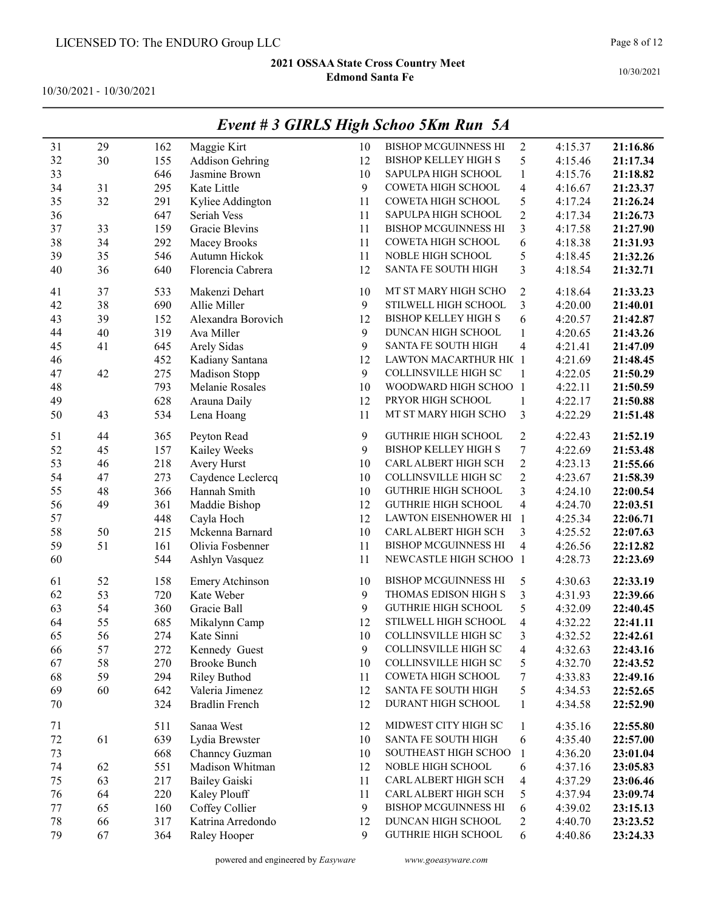10/30/2021 - 10/30/2021

|        |    |     |                        |        | Event # 3 GIRLS High Schoo 5Km Run 5A |                         |         |          |
|--------|----|-----|------------------------|--------|---------------------------------------|-------------------------|---------|----------|
| 31     | 29 | 162 | Maggie Kirt            | 10     | <b>BISHOP MCGUINNESS HI</b>           | $\sqrt{2}$              | 4:15.37 | 21:16.86 |
| 32     | 30 | 155 | <b>Addison Gehring</b> | 12     | <b>BISHOP KELLEY HIGH S</b>           | 5                       | 4:15.46 | 21:17.34 |
| 33     |    | 646 | Jasmine Brown          | 10     | SAPULPA HIGH SCHOOL                   | 1                       | 4:15.76 | 21:18.82 |
| 34     | 31 | 295 | Kate Little            | 9      | COWETA HIGH SCHOOL                    | 4                       | 4:16.67 | 21:23.37 |
| 35     | 32 | 291 | Kyliee Addington       | 11     | COWETA HIGH SCHOOL                    | 5                       | 4:17.24 | 21:26.24 |
| 36     |    | 647 | Seriah Vess            | 11     | SAPULPA HIGH SCHOOL                   | $\overline{c}$          | 4:17.34 | 21:26.73 |
| 37     | 33 | 159 | <b>Gracie Blevins</b>  | 11     | <b>BISHOP MCGUINNESS HI</b>           | 3                       | 4:17.58 | 21:27.90 |
| 38     | 34 | 292 | Macey Brooks           | 11     | COWETA HIGH SCHOOL                    | 6                       | 4:18.38 | 21:31.93 |
| 39     | 35 | 546 | Autumn Hickok          | 11     | NOBLE HIGH SCHOOL                     | 5                       | 4:18.45 | 21:32.26 |
| 40     | 36 | 640 | Florencia Cabrera      | 12     | <b>SANTA FE SOUTH HIGH</b>            | 3                       | 4:18.54 | 21:32.71 |
| 41     | 37 | 533 | Makenzi Dehart         | 10     | MT ST MARY HIGH SCHO                  | 2                       | 4:18.64 | 21:33.23 |
| 42     | 38 | 690 | Allie Miller           | 9      | STILWELL HIGH SCHOOL                  | 3                       | 4:20.00 | 21:40.01 |
| 43     | 39 | 152 | Alexandra Borovich     | 12     | <b>BISHOP KELLEY HIGH S</b>           | 6                       | 4:20.57 | 21:42.87 |
| 44     | 40 | 319 | Ava Miller             | 9      | DUNCAN HIGH SCHOOL                    | 1                       | 4:20.65 | 21:43.26 |
| 45     | 41 | 645 | Arely Sidas            | 9      | SANTA FE SOUTH HIGH                   | 4                       | 4:21.41 | 21:47.09 |
| 46     |    | 452 | Kadiany Santana        | 12     | LAWTON MACARTHUR HIC 1                |                         | 4:21.69 | 21:48.45 |
| 47     | 42 | 275 | Madison Stopp          | 9      | <b>COLLINSVILLE HIGH SC</b>           | 1                       | 4:22.05 | 21:50.29 |
| 48     |    | 793 | Melanie Rosales        | 10     | WOODWARD HIGH SCHOO 1                 |                         | 4:22.11 | 21:50.59 |
| 49     |    | 628 | Arauna Daily           | 12     | PRYOR HIGH SCHOOL                     | 1                       | 4:22.17 | 21:50.88 |
| 50     | 43 | 534 | Lena Hoang             | 11     | MT ST MARY HIGH SCHO                  | 3                       | 4:22.29 | 21:51.48 |
| 51     | 44 | 365 | Peyton Read            | 9      | <b>GUTHRIE HIGH SCHOOL</b>            | $\overline{c}$          | 4:22.43 | 21:52.19 |
| 52     | 45 | 157 | Kailey Weeks           | 9      | <b>BISHOP KELLEY HIGH S</b>           | $\boldsymbol{7}$        | 4:22.69 | 21:53.48 |
| 53     | 46 | 218 | Avery Hurst            | 10     | CARL ALBERT HIGH SCH                  | $\overline{c}$          | 4:23.13 | 21:55.66 |
| 54     | 47 | 273 | Caydence Leclercq      | 10     | COLLINSVILLE HIGH SC                  | $\overline{2}$          | 4:23.67 | 21:58.39 |
| 55     | 48 | 366 | Hannah Smith           | 10     | <b>GUTHRIE HIGH SCHOOL</b>            | 3                       | 4:24.10 | 22:00.54 |
| 56     | 49 | 361 | Maddie Bishop          | 12     | <b>GUTHRIE HIGH SCHOOL</b>            | $\overline{\mathbf{4}}$ | 4:24.70 | 22:03.51 |
| 57     |    | 448 | Cayla Hoch             | 12     | LAWTON EISENHOWER HI                  | $\mathbf{1}$            | 4:25.34 | 22:06.71 |
| 58     | 50 | 215 | Mckenna Barnard        | 10     | CARL ALBERT HIGH SCH                  | 3                       | 4:25.52 | 22:07.63 |
| 59     | 51 | 161 | Olivia Fosbenner       | 11     | <b>BISHOP MCGUINNESS HI</b>           | 4                       | 4:26.56 | 22:12.82 |
| 60     |    | 544 | Ashlyn Vasquez         | 11     | NEWCASTLE HIGH SCHOO 1                |                         | 4:28.73 | 22:23.69 |
| 61     | 52 | 158 | Emery Atchinson        | 10     | <b>BISHOP MCGUINNESS HI</b>           | 5                       | 4:30.63 | 22:33.19 |
| 62     | 53 | 720 | Kate Weber             | 9      | THOMAS EDISON HIGH S                  | 3                       | 4:31.93 | 22:39.66 |
| 63     | 54 | 360 | Gracie Ball            | 9      | <b>GUTHRIE HIGH SCHOOL</b>            | 5                       | 4:32.09 | 22:40.45 |
| 64     | 55 | 685 | Mikalynn Camp          | 12     | STILWELL HIGH SCHOOL                  | 4                       | 4:32.22 | 22:41.11 |
| 65     | 56 | 274 | Kate Sinni             | $10\,$ | COLLINSVILLE HIGH SC                  | 3                       | 4:32.52 | 22:42.61 |
| 66     | 57 | 272 | Kennedy Guest          | 9      | COLLINSVILLE HIGH SC                  | 4                       | 4:32.63 | 22:43.16 |
| 67     | 58 | 270 | <b>Brooke Bunch</b>    | 10     | COLLINSVILLE HIGH SC                  | 5                       | 4:32.70 | 22:43.52 |
| 68     | 59 | 294 | <b>Riley Buthod</b>    | 11     | COWETA HIGH SCHOOL                    | 7                       | 4:33.83 | 22:49.16 |
| 69     | 60 | 642 | Valeria Jimenez        | 12     | SANTA FE SOUTH HIGH                   | 5                       | 4:34.53 | 22:52.65 |
| 70     |    | 324 | <b>Bradlin French</b>  | 12     | DURANT HIGH SCHOOL                    | $\mathbf{1}$            | 4:34.58 | 22:52.90 |
| 71     |    | 511 | Sanaa West             | 12     | MIDWEST CITY HIGH SC                  | $\mathbf{1}$            | 4:35.16 | 22:55.80 |
| $72\,$ | 61 | 639 | Lydia Brewster         | 10     | <b>SANTA FE SOUTH HIGH</b>            | 6                       | 4:35.40 | 22:57.00 |
| 73     |    | 668 | Channey Guzman         | 10     | SOUTHEAST HIGH SCHOO                  | 1                       | 4:36.20 | 23:01.04 |
| 74     | 62 | 551 | Madison Whitman        | 12     | NOBLE HIGH SCHOOL                     | 6                       | 4:37.16 | 23:05.83 |
| 75     | 63 | 217 | <b>Bailey Gaiski</b>   | 11     | CARL ALBERT HIGH SCH                  | 4                       | 4:37.29 | 23:06.46 |
| 76     | 64 | 220 | Kaley Plouff           | 11     | CARL ALBERT HIGH SCH                  | 5                       | 4:37.94 | 23:09.74 |
| 77     | 65 | 160 | Coffey Collier         | 9      | BISHOP MCGUINNESS HI                  | 6                       | 4:39.02 | 23:15.13 |
| 78     | 66 | 317 | Katrina Arredondo      | 12     | DUNCAN HIGH SCHOOL                    | $\overline{c}$          | 4:40.70 | 23:23.52 |
| 79     | 67 | 364 | Raley Hooper           | 9      | <b>GUTHRIE HIGH SCHOOL</b>            | 6                       | 4:40.86 | 23:24.33 |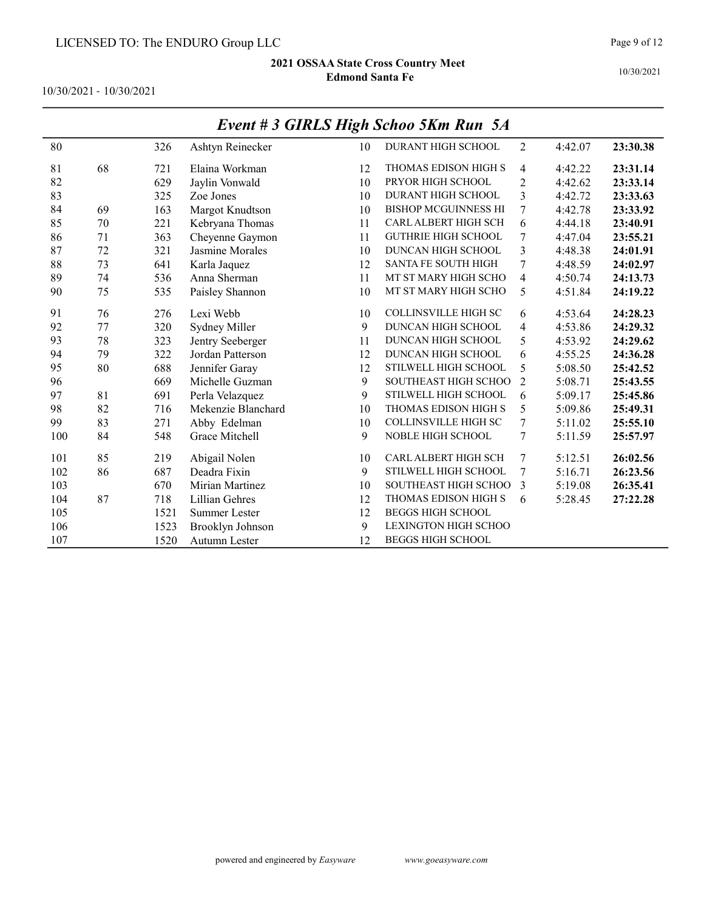10/30/2021 - 10/30/2021

|     |    |      |                    |    | $L$ <i>rem</i> $\pi$ 3 GTKLS $H$ $g$ <i>n</i> $S$ <i>nivo</i> $J$ <i>Km</i> K <i>m</i> $J$ <i>x</i> <sup>1</sup> |                |         |          |
|-----|----|------|--------------------|----|------------------------------------------------------------------------------------------------------------------|----------------|---------|----------|
| 80  |    | 326  | Ashtyn Reinecker   | 10 | DURANT HIGH SCHOOL                                                                                               | $\overline{2}$ | 4:42.07 | 23:30.38 |
| 81  | 68 | 721  | Elaina Workman     | 12 | THOMAS EDISON HIGH S                                                                                             | $\overline{4}$ | 4:42.22 | 23:31.14 |
| 82  |    | 629  | Jaylin Vonwald     | 10 | PRYOR HIGH SCHOOL                                                                                                | $\overline{2}$ | 4:42.62 | 23:33.14 |
| 83  |    | 325  | Zoe Jones          | 10 | DURANT HIGH SCHOOL                                                                                               | 3              | 4:42.72 | 23:33.63 |
| 84  | 69 | 163  | Margot Knudtson    | 10 | <b>BISHOP MCGUINNESS HI</b>                                                                                      | 7              | 4:42.78 | 23:33.92 |
| 85  | 70 | 221  | Kebryana Thomas    | 11 | CARL ALBERT HIGH SCH                                                                                             | 6              | 4:44.18 | 23:40.91 |
| 86  | 71 | 363  | Cheyenne Gaymon    | 11 | <b>GUTHRIE HIGH SCHOOL</b>                                                                                       | 7              | 4:47.04 | 23:55.21 |
| 87  | 72 | 321  | Jasmine Morales    | 10 | DUNCAN HIGH SCHOOL                                                                                               | 3              | 4:48.38 | 24:01.91 |
| 88  | 73 | 641  | Karla Jaquez       | 12 | <b>SANTA FE SOUTH HIGH</b>                                                                                       | 7              | 4:48.59 | 24:02.97 |
| 89  | 74 | 536  | Anna Sherman       | 11 | MT ST MARY HIGH SCHO                                                                                             | $\overline{4}$ | 4:50.74 | 24:13.73 |
| 90  | 75 | 535  | Paisley Shannon    | 10 | MT ST MARY HIGH SCHO                                                                                             | 5              | 4:51.84 | 24:19.22 |
| 91  | 76 | 276  | Lexi Webb          | 10 | <b>COLLINSVILLE HIGH SC</b>                                                                                      | 6              | 4:53.64 | 24:28.23 |
| 92  | 77 | 320  | Sydney Miller      | 9  | DUNCAN HIGH SCHOOL                                                                                               | 4              | 4:53.86 | 24:29.32 |
| 93  | 78 | 323  | Jentry Seeberger   | 11 | DUNCAN HIGH SCHOOL                                                                                               | 5              | 4:53.92 | 24:29.62 |
| 94  | 79 | 322  | Jordan Patterson   | 12 | DUNCAN HIGH SCHOOL                                                                                               | 6              | 4:55.25 | 24:36.28 |
| 95  | 80 | 688  | Jennifer Garay     | 12 | STILWELL HIGH SCHOOL                                                                                             | 5              | 5:08.50 | 25:42.52 |
| 96  |    | 669  | Michelle Guzman    | 9  | SOUTHEAST HIGH SCHOO                                                                                             | $\overline{2}$ | 5:08.71 | 25:43.55 |
| 97  | 81 | 691  | Perla Velazquez    | 9  | STILWELL HIGH SCHOOL                                                                                             | 6              | 5:09.17 | 25:45.86 |
| 98  | 82 | 716  | Mekenzie Blanchard | 10 | THOMAS EDISON HIGH S                                                                                             | 5              | 5:09.86 | 25:49.31 |
| 99  | 83 | 271  | Abby Edelman       | 10 | <b>COLLINSVILLE HIGH SC</b>                                                                                      | 7              | 5:11.02 | 25:55.10 |
| 100 | 84 | 548  | Grace Mitchell     | 9  | <b>NOBLE HIGH SCHOOL</b>                                                                                         | 7              | 5:11.59 | 25:57.97 |
| 101 | 85 | 219  | Abigail Nolen      | 10 | <b>CARL ALBERT HIGH SCH</b>                                                                                      | 7              | 5:12.51 | 26:02.56 |
| 102 | 86 | 687  | Deadra Fixin       | 9  | STILWELL HIGH SCHOOL                                                                                             | 7              | 5:16.71 | 26:23.56 |
| 103 |    | 670  | Mirian Martinez    | 10 | SOUTHEAST HIGH SCHOO                                                                                             | 3              | 5:19.08 | 26:35.41 |
| 104 | 87 | 718  | Lillian Gehres     | 12 | THOMAS EDISON HIGH S                                                                                             | 6              | 5:28.45 | 27:22.28 |
| 105 |    | 1521 | Summer Lester      | 12 | <b>BEGGS HIGH SCHOOL</b>                                                                                         |                |         |          |
| 106 |    | 1523 | Brooklyn Johnson   | 9  | <b>LEXINGTON HIGH SCHOO</b>                                                                                      |                |         |          |
| 107 |    | 1520 | Autumn Lester      | 12 | <b>BEGGS HIGH SCHOOL</b>                                                                                         |                |         |          |

# Event # 3 GIRLS High Schoo 5Km Run 5A

10/30/2021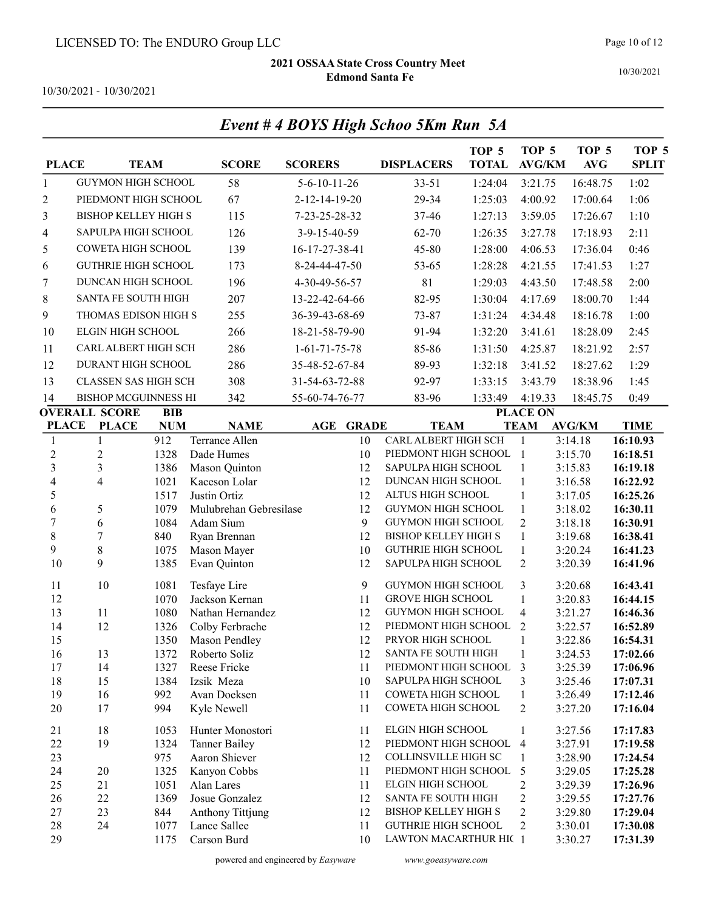Event # 4 BOYS High Schoo 5Km Run 5A

10/30/2021

10/30/2021 - 10/30/2021

| <b>PLACE</b>             |                             | <b>TEAM</b>  | <b>SCORE</b>                          | <b>SCORERS</b>                 | <b>DISPLACERS</b>                             | TOP <sub>5</sub><br><b>TOTAL</b> | TOP <sub>5</sub><br><b>AVG/KM</b> | TOP <sub>5</sub><br><b>AVG</b> | TOP <sub>5</sub><br><b>SPLIT</b> |
|--------------------------|-----------------------------|--------------|---------------------------------------|--------------------------------|-----------------------------------------------|----------------------------------|-----------------------------------|--------------------------------|----------------------------------|
| $\mathbf{1}$             | <b>GUYMON HIGH SCHOOL</b>   |              | 58                                    | $5 - 6 - 10 - 11 - 26$         | $33 - 51$                                     | 1:24:04                          | 3:21.75                           | 16:48.75                       | 1:02                             |
| 2                        | PIEDMONT HIGH SCHOOL        |              | 67                                    | 2-12-14-19-20                  | 29-34                                         | 1:25:03                          | 4:00.92                           | 17:00.64                       | 1:06                             |
| 3                        | <b>BISHOP KELLEY HIGH S</b> |              | 115                                   | 7-23-25-28-32                  | 37-46                                         | 1:27:13                          | 3:59.05                           | 17:26.67                       | 1:10                             |
| 4                        | SAPULPA HIGH SCHOOL         |              | 126                                   | 3-9-15-40-59                   | 62-70                                         | 1:26:35                          | 3:27.78                           | 17:18.93                       | 2:11                             |
| 5                        | COWETA HIGH SCHOOL          |              | 139                                   | 16-17-27-38-41                 | 45-80                                         | 1:28:00                          | 4:06.53                           | 17:36.04                       | 0:46                             |
| 6                        | <b>GUTHRIE HIGH SCHOOL</b>  |              | 173                                   | 8-24-44-47-50                  | 53-65                                         | 1:28:28                          | 4:21.55                           | 17:41.53                       | 1:27                             |
| 7                        | DUNCAN HIGH SCHOOL          |              | 196                                   | 4-30-49-56-57                  | 81                                            | 1:29:03                          | 4:43.50                           | 17:48.58                       | 2:00                             |
| 8                        | <b>SANTA FE SOUTH HIGH</b>  |              | 207                                   | 13-22-42-64-66                 | 82-95                                         | 1:30:04                          | 4:17.69                           | 18:00.70                       | 1:44                             |
| 9                        | THOMAS EDISON HIGH S        |              | 255                                   | 36-39-43-68-69                 | 73-87                                         | 1:31:24                          | 4:34.48                           | 18:16.78                       | 1:00                             |
|                          |                             |              |                                       |                                |                                               |                                  |                                   |                                |                                  |
| 10                       | <b>ELGIN HIGH SCHOOL</b>    |              | 266                                   | 18-21-58-79-90                 | 91-94                                         | 1:32:20                          | 3:41.61                           | 18:28.09                       | 2:45                             |
| 11                       | CARL ALBERT HIGH SCH        |              | 286                                   | $1-61-71-75-78$                | 85-86                                         | 1:31:50                          | 4:25.87                           | 18:21.92                       | 2:57                             |
| 12                       | DURANT HIGH SCHOOL          |              | 286                                   | 35-48-52-67-84                 | 89-93                                         | 1:32:18                          | 3:41.52                           | 18:27.62                       | 1:29                             |
| 13                       | <b>CLASSEN SAS HIGH SCH</b> |              | 308                                   | 31-54-63-72-88                 | 92-97                                         | 1:33:15                          | 3:43.79                           | 18:38.96                       | 1:45                             |
| 14                       | <b>BISHOP MCGUINNESS HI</b> |              | 342                                   | 55-60-74-76-77                 | 83-96                                         | 1:33:49                          | 4:19.33                           | 18:45.75                       | 0:49                             |
|                          | <b>OVERALL SCORE</b>        | <b>BIB</b>   |                                       |                                |                                               |                                  | <b>PLACE ON</b>                   |                                |                                  |
| <b>PLACE</b>             | <b>PLACE</b>                | <b>NUM</b>   | <b>NAME</b>                           | <b>GRADE</b><br>$\mathbf{AGE}$ | <b>TEAM</b>                                   |                                  | <b>TEAM</b>                       | <b>AVG/KM</b>                  | <b>TIME</b>                      |
| 1<br>$\overline{2}$      | 1                           | 912          | Terrance Allen                        | 10                             | CARL ALBERT HIGH SCH<br>PIEDMONT HIGH SCHOOL  |                                  | $\mathbf{1}$<br>$\overline{1}$    | 3:14.18<br>3:15.70             | 16:10.93                         |
| 3                        | $\mathfrak{2}$<br>3         | 1328<br>1386 | Dade Humes<br>Mason Quinton           | 10<br>12                       | SAPULPA HIGH SCHOOL                           |                                  | $\mathbf{1}$                      | 3:15.83                        | 16:18.51<br>16:19.18             |
| $\overline{\mathcal{A}}$ | 4                           | 1021         | Kaceson Lolar                         | 12                             | DUNCAN HIGH SCHOOL                            |                                  | $\mathbf{1}$                      | 3:16.58                        | 16:22.92                         |
| 5                        |                             | 1517         | Justin Ortiz                          | 12                             | ALTUS HIGH SCHOOL                             |                                  | $\mathbf{1}$                      | 3:17.05                        | 16:25.26                         |
| 6                        | 5                           | 1079         | Mulubrehan Gebresilase                | 12                             | GUYMON HIGH SCHOOL                            |                                  | $\mathbf{1}$                      | 3:18.02                        | 16:30.11                         |
| $\tau$                   | 6                           | 1084         | Adam Sium                             | 9                              | GUYMON HIGH SCHOOL                            |                                  | $\overline{2}$                    | 3:18.18                        | 16:30.91                         |
| $\,$ 8 $\,$              | $\overline{7}$              | 840          | Ryan Brennan                          | 12                             | <b>BISHOP KELLEY HIGH S</b>                   |                                  | $\mathbf{1}$                      | 3:19.68                        | 16:38.41                         |
| 9                        | 8                           | 1075         | Mason Mayer                           | 10                             | <b>GUTHRIE HIGH SCHOOL</b>                    |                                  | $\mathbf{1}$                      | 3:20.24                        | 16:41.23                         |
| 10                       | 9                           | 1385         | Evan Quinton                          | 12                             | SAPULPA HIGH SCHOOL                           |                                  | $\overline{2}$                    | 3:20.39                        | 16:41.96                         |
| 11                       | 10                          | 1081         | Tesfaye Lire                          | 9                              | GUYMON HIGH SCHOOL                            |                                  | 3                                 | 3:20.68                        | 16:43.41                         |
| 12                       |                             | 1070         | Jackson Kernan                        | 11                             | <b>GROVE HIGH SCHOOL</b>                      |                                  | $\mathbf{1}$                      | 3:20.83                        | 16:44.15                         |
| 13                       | 11                          | 1080         | Nathan Hernandez                      | 12                             | <b>GUYMON HIGH SCHOOL</b>                     |                                  | $\overline{4}$                    | 3:21.27                        | 16:46.36                         |
| 14                       | 12                          | 1326         | Colby Ferbrache                       | 12                             | PIEDMONT HIGH SCHOOL                          |                                  | 2                                 | 3:22.57                        | 16:52.89                         |
| 15                       |                             | 1350         | Mason Pendley                         | 12                             | PRYOR HIGH SCHOOL                             |                                  | $\mathbf{1}$                      | 3:22.86                        | 16:54.31                         |
| 16                       | 13                          | 1372         | Roberto Soliz                         | 12                             | SANTA FE SOUTH HIGH                           |                                  | 1                                 | 3:24.53                        | 17:02.66                         |
| 17<br>18                 | 14<br>15                    | 1327         | Reese Fricke                          | 11<br>10                       | PIEDMONT HIGH SCHOOL 3<br>SAPULPA HIGH SCHOOL |                                  |                                   | 3:25.39<br>3:25.46             | 17:06.96                         |
| 19                       | 16                          | 1384<br>992  | Izsik Meza<br>Avan Doeksen            | 11                             | COWETA HIGH SCHOOL                            |                                  | 3<br>1                            | 3:26.49                        | 17:07.31<br>17:12.46             |
| 20                       | 17                          | 994          | Kyle Newell                           | 11                             | COWETA HIGH SCHOOL                            |                                  | 2                                 | 3:27.20                        | 17:16.04                         |
|                          |                             |              |                                       |                                |                                               |                                  |                                   |                                |                                  |
| 21                       | 18                          | 1053         | Hunter Monostori                      | 11                             | ELGIN HIGH SCHOOL                             |                                  | 1                                 | 3:27.56                        | 17:17.83                         |
| 22                       | 19                          | 1324         | <b>Tanner Bailey</b><br>Aaron Shiever | 12                             | PIEDMONT HIGH SCHOOL                          |                                  | $\overline{4}$                    | 3:27.91                        | 17:19.58                         |
| 23<br>24                 | 20                          | 975<br>1325  | Kanyon Cobbs                          | 12<br>11                       | COLLINSVILLE HIGH SC<br>PIEDMONT HIGH SCHOOL  |                                  | 1<br>5                            | 3:28.90<br>3:29.05             | 17:24.54<br>17:25.28             |
| 25                       | 21                          | 1051         | Alan Lares                            | 11                             | ELGIN HIGH SCHOOL                             |                                  | 2                                 | 3:29.39                        | 17:26.96                         |
| 26                       | 22                          | 1369         | Josue Gonzalez                        | 12                             | SANTA FE SOUTH HIGH                           |                                  | 2                                 | 3:29.55                        | 17:27.76                         |
| 27                       | 23                          | 844          | <b>Anthony Tittjung</b>               | 12                             | <b>BISHOP KELLEY HIGH S</b>                   |                                  | 2                                 | 3:29.80                        | 17:29.04                         |
| 28                       | 24                          | 1077         | Lance Sallee                          | 11                             | <b>GUTHRIE HIGH SCHOOL</b>                    |                                  | 2                                 | 3:30.01                        | 17:30.08                         |
| 29                       |                             | 1175         | Carson Burd                           | 10                             | LAWTON MACARTHUR HIC 1                        |                                  |                                   | 3:30.27                        | 17:31.39                         |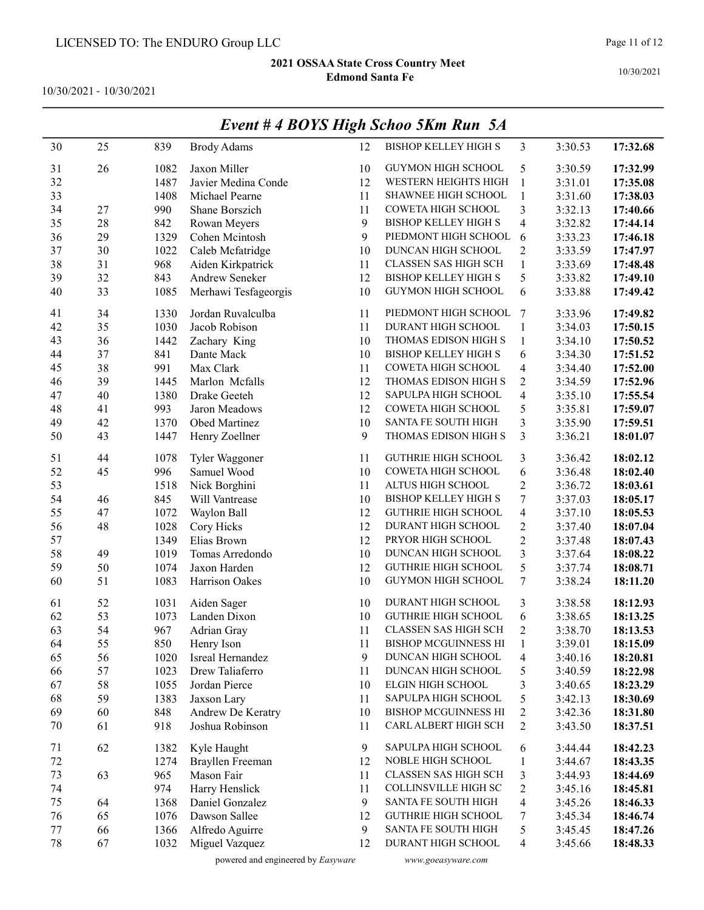10/30/2021 - 10/30/2021

| 30     | 25 | 839  | <b>Brody Adams</b>   | 12 | <b>BISHOP KELLEY HIGH S</b> | 3                       | 3:30.53 | 17:32.68 |
|--------|----|------|----------------------|----|-----------------------------|-------------------------|---------|----------|
| 31     | 26 | 1082 | Jaxon Miller         | 10 | GUYMON HIGH SCHOOL          | 5                       | 3:30.59 | 17:32.99 |
| 32     |    | 1487 | Javier Medina Conde  | 12 | WESTERN HEIGHTS HIGH        | $\mathbf{1}$            | 3:31.01 | 17:35.08 |
| 33     |    | 1408 | Michael Pearne       | 11 | <b>SHAWNEE HIGH SCHOOL</b>  | $\mathbf{1}$            | 3:31.60 | 17:38.03 |
| 34     | 27 | 990  | Shane Borszich       | 11 | COWETA HIGH SCHOOL          | 3                       | 3:32.13 | 17:40.66 |
| 35     | 28 | 842  | Rowan Meyers         | 9  | <b>BISHOP KELLEY HIGH S</b> | 4                       | 3:32.82 | 17:44.14 |
| 36     | 29 | 1329 | Cohen Mcintosh       | 9  | PIEDMONT HIGH SCHOOL        | 6                       | 3:33.23 | 17:46.18 |
| 37     | 30 | 1022 | Caleb Mcfatridge     | 10 | DUNCAN HIGH SCHOOL          | $\overline{c}$          | 3:33.59 | 17:47.97 |
| 38     | 31 | 968  | Aiden Kirkpatrick    | 11 | CLASSEN SAS HIGH SCH        | $\mathbf{1}$            | 3:33.69 | 17:48.48 |
| 39     | 32 | 843  | Andrew Seneker       | 12 | BISHOP KELLEY HIGH S        | 5                       | 3:33.82 | 17:49.10 |
| 40     | 33 | 1085 | Merhawi Tesfageorgis | 10 | GUYMON HIGH SCHOOL          | $\sqrt{6}$              | 3:33.88 | 17:49.42 |
| 41     | 34 | 1330 | Jordan Ruvalculba    | 11 | PIEDMONT HIGH SCHOOL        | 7                       | 3:33.96 | 17:49.82 |
| 42     | 35 | 1030 | Jacob Robison        | 11 | DURANT HIGH SCHOOL          | 1                       | 3:34.03 | 17:50.15 |
| 43     | 36 | 1442 | Zachary King         | 10 | THOMAS EDISON HIGH S        | 1                       | 3:34.10 | 17:50.52 |
| 44     | 37 | 841  | Dante Mack           | 10 | <b>BISHOP KELLEY HIGH S</b> | 6                       | 3:34.30 | 17:51.52 |
| 45     | 38 | 991  | Max Clark            | 11 | COWETA HIGH SCHOOL          | 4                       | 3:34.40 | 17:52.00 |
| 46     | 39 | 1445 | Marlon Mcfalls       | 12 | THOMAS EDISON HIGH S        | $\overline{c}$          | 3:34.59 | 17:52.96 |
| 47     | 40 | 1380 | Drake Geeteh         | 12 | SAPULPA HIGH SCHOOL         | $\overline{\mathbf{4}}$ | 3:35.10 | 17:55.54 |
| 48     | 41 | 993  | Jaron Meadows        | 12 | COWETA HIGH SCHOOL          | 5                       | 3:35.81 | 17:59.07 |
| 49     | 42 | 1370 | Obed Martinez        | 10 | SANTA FE SOUTH HIGH         | 3                       | 3:35.90 | 17:59.51 |
| 50     | 43 | 1447 | Henry Zoellner       | 9  | THOMAS EDISON HIGH S        | 3                       | 3:36.21 | 18:01.07 |
| 51     | 44 | 1078 | Tyler Waggoner       | 11 | <b>GUTHRIE HIGH SCHOOL</b>  | 3                       | 3:36.42 | 18:02.12 |
| 52     | 45 | 996  | Samuel Wood          | 10 | COWETA HIGH SCHOOL          | 6                       | 3:36.48 | 18:02.40 |
| 53     |    | 1518 | Nick Borghini        | 11 | ALTUS HIGH SCHOOL           | $\overline{c}$          | 3:36.72 | 18:03.61 |
| 54     | 46 | 845  | Will Vantrease       | 10 | <b>BISHOP KELLEY HIGH S</b> | $\boldsymbol{7}$        | 3:37.03 | 18:05.17 |
| 55     | 47 | 1072 | Waylon Ball          | 12 | <b>GUTHRIE HIGH SCHOOL</b>  | $\overline{4}$          | 3:37.10 | 18:05.53 |
| 56     | 48 | 1028 | Cory Hicks           | 12 | DURANT HIGH SCHOOL          | $\overline{c}$          | 3:37.40 | 18:07.04 |
| 57     |    | 1349 | Elias Brown          | 12 | PRYOR HIGH SCHOOL           | $\overline{c}$          | 3:37.48 | 18:07.43 |
| 58     | 49 | 1019 | Tomas Arredondo      | 10 | DUNCAN HIGH SCHOOL          | $\mathfrak{Z}$          | 3:37.64 | 18:08.22 |
| 59     | 50 | 1074 | Jaxon Harden         | 12 | <b>GUTHRIE HIGH SCHOOL</b>  | 5                       | 3:37.74 | 18:08.71 |
| 60     | 51 | 1083 | Harrison Oakes       | 10 | GUYMON HIGH SCHOOL          | $\tau$                  | 3:38.24 | 18:11.20 |
| 61     | 52 | 1031 | Aiden Sager          | 10 | DURANT HIGH SCHOOL          | 3                       | 3:38.58 | 18:12.93 |
| 62     | 53 | 1073 | Landen Dixon         | 10 | <b>GUTHRIE HIGH SCHOOL</b>  | 6                       | 3:38.65 | 18:13.25 |
| 63     | 54 | 967  | Adrian Gray          | 11 | CLASSEN SAS HIGH SCH        | $\overline{c}$          | 3:38.70 | 18:13.53 |
| 64     | 55 | 850  | Henry Ison           | 11 | BISHOP MCGUINNESS HI        | 1                       | 3:39.01 | 18:15.09 |
| 65     | 56 | 1020 | Isreal Hernandez     | 9  | DUNCAN HIGH SCHOOL          | 4                       | 3:40.16 | 18:20.81 |
| 66     | 57 | 1023 | Drew Taliaferro      | 11 | DUNCAN HIGH SCHOOL          | 5                       | 3:40.59 | 18:22.98 |
| 67     | 58 | 1055 | Jordan Pierce        | 10 | ELGIN HIGH SCHOOL           | 3                       | 3:40.65 | 18:23.29 |
| 68     | 59 | 1383 | Jaxson Lary          | 11 | SAPULPA HIGH SCHOOL         | 5                       | 3:42.13 | 18:30.69 |
| 69     | 60 | 848  | Andrew De Keratry    | 10 | <b>BISHOP MCGUINNESS HI</b> | $\overline{\mathbf{c}}$ | 3:42.36 | 18:31.80 |
| 70     | 61 | 918  | Joshua Robinson      | 11 | CARL ALBERT HIGH SCH        | $\overline{c}$          | 3:43.50 | 18:37.51 |
| 71     | 62 | 1382 | Kyle Haught          | 9  | SAPULPA HIGH SCHOOL         | 6                       | 3:44.44 | 18:42.23 |
| 72     |    | 1274 | Brayllen Freeman     | 12 | NOBLE HIGH SCHOOL           | $\mathbf{1}$            | 3:44.67 | 18:43.35 |
| 73     | 63 | 965  | Mason Fair           | 11 | CLASSEN SAS HIGH SCH        | 3                       | 3:44.93 | 18:44.69 |
| 74     |    | 974  | Harry Henslick       | 11 | COLLINSVILLE HIGH SC        | $\overline{c}$          | 3:45.16 | 18:45.81 |
| 75     | 64 | 1368 | Daniel Gonzalez      | 9  | SANTA FE SOUTH HIGH         | $\overline{4}$          | 3:45.26 | 18:46.33 |
| 76     | 65 | 1076 | Dawson Sallee        | 12 | <b>GUTHRIE HIGH SCHOOL</b>  | 7                       | 3:45.34 | 18:46.74 |
| 77     | 66 | 1366 | Alfredo Aguirre      | 9  | SANTA FE SOUTH HIGH         | 5                       | 3:45.45 | 18:47.26 |
| $78\,$ | 67 | 1032 | Miguel Vazquez       | 12 | DURANT HIGH SCHOOL          | $\overline{4}$          | 3:45.66 | 18:48.33 |

# Event # 4 BOYS High Schoo 5Km Run 5A

powered and engineered by Easyware www.goeasyware.com

10/30/2021